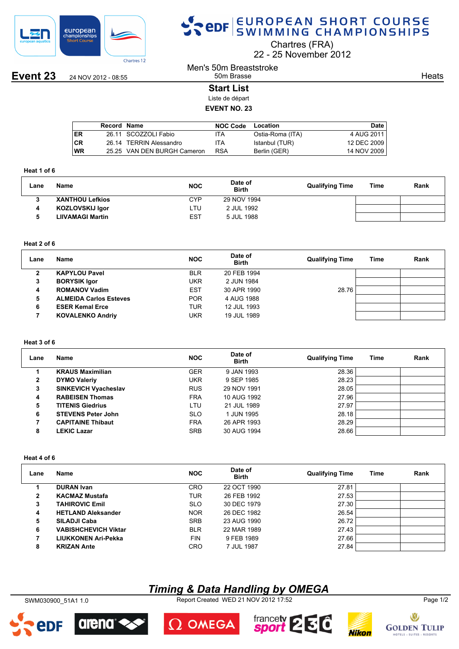

## SPOR EUROPEAN SHORT COURSE

Chartres (FRA)

22 25 November 2012

**Event 23** 24 NOV 2012 - 08:55

#### Men's 50m Breaststroke 50m Brasse

**Heats** 

#### **Start List**

Liste de départ

#### **EVENT NO. 23**

|    | Record Name |                             | NOC Code   | Location         | Date        |
|----|-------------|-----------------------------|------------|------------------|-------------|
| ER |             | 26.11 SCOZZOLI Fabio        | ITA        | Ostia-Roma (ITA) | 4 AUG 2011  |
| СR |             | 26.14 TERRIN Alessandro     | <b>ITA</b> | Istanbul (TUR)   | 12 DEC 2009 |
| WR |             | 25.25 VAN DEN BURGH Cameron | <b>RSA</b> | Berlin (GER)     | 14 NOV 2009 |
|    |             |                             |            |                  |             |

#### **Heat 1 of 6**

| Lane | Name                    | <b>NOC</b> | Date of<br><b>Birth</b> | <b>Qualifying Time</b> | Time | Rank |
|------|-------------------------|------------|-------------------------|------------------------|------|------|
|      | <b>XANTHOU Lefkios</b>  | CYP        | 29 NOV 1994             |                        |      |      |
|      | KOZLOVSKIJ Igor         | ∟TU        | 2 JUL 1992              |                        |      |      |
|      | <b>LIIVAMAGI Martin</b> | <b>EST</b> | 5 JUL 1988              |                        |      |      |

#### **Heat 2 of 6**

| Lane | Name                          | <b>NOC</b> | Date of<br><b>Birth</b> | <b>Qualifying Time</b> | Time | Rank |
|------|-------------------------------|------------|-------------------------|------------------------|------|------|
| 2    | <b>KAPYLOU Pavel</b>          | <b>BLR</b> | 20 FEB 1994             |                        |      |      |
| 3    | <b>BORYSIK Igor</b>           | <b>UKR</b> | 2 JUN 1984              |                        |      |      |
| 4    | <b>ROMANOV Vadim</b>          | <b>EST</b> | 30 APR 1990             | 28.76                  |      |      |
| 5    | <b>ALMEIDA Carlos Esteves</b> | <b>POR</b> | 4 AUG 1988              |                        |      |      |
| 6    | <b>ESER Kemal Erce</b>        | TUR        | 12 JUL 1993             |                        |      |      |
|      | <b>KOVALENKO Andriy</b>       | <b>UKR</b> | 19 JUL 1989             |                        |      |      |

#### **Heat 3 of 6**

| Lane         | Name                        | <b>NOC</b> | Date of<br><b>Birth</b> | <b>Qualifying Time</b> | Time | Rank |
|--------------|-----------------------------|------------|-------------------------|------------------------|------|------|
|              | <b>KRAUS Maximilian</b>     | <b>GER</b> | 9 JAN 1993              | 28.36                  |      |      |
| $\mathbf{2}$ | <b>DYMO Valeriy</b>         | <b>UKR</b> | 9 SEP 1985              | 28.23                  |      |      |
| 3            | <b>SINKEVICH Vyacheslav</b> | <b>RUS</b> | 29 NOV 1991             | 28.05                  |      |      |
| 4            | <b>RABEISEN Thomas</b>      | <b>FRA</b> | 10 AUG 1992             | 27.96                  |      |      |
| 5            | <b>TITENIS Giedrius</b>     | LTU        | 21 JUL 1989             | 27.97                  |      |      |
| 6            | <b>STEVENS Peter John</b>   | <b>SLO</b> | 1 JUN 1995              | 28.18                  |      |      |
| 7            | <b>CAPITAINE Thibaut</b>    | <b>FRA</b> | 26 APR 1993             | 28.29                  |      |      |
| 8            | <b>LEKIC Lazar</b>          | <b>SRB</b> | 30 AUG 1994             | 28.66                  |      |      |

#### **Heat 4 of 6**

| Lane | Name                        | <b>NOC</b> | Date of<br><b>Birth</b> | <b>Qualifying Time</b> | Time | Rank |
|------|-----------------------------|------------|-------------------------|------------------------|------|------|
|      | <b>DURAN Ivan</b>           | <b>CRO</b> | 22 OCT 1990             | 27.81                  |      |      |
| 2    | <b>KACMAZ Mustafa</b>       | <b>TUR</b> | 26 FEB 1992             | 27.53                  |      |      |
| 3    | <b>TAHIROVIC Emil</b>       | <b>SLO</b> | 30 DEC 1979             | 27.30                  |      |      |
| 4    | <b>HETLAND Aleksander</b>   | <b>NOR</b> | 26 DEC 1982             | 26.54                  |      |      |
| 5    | SILADJI Caba                | <b>SRB</b> | 23 AUG 1990             | 26.72                  |      |      |
| 6    | <b>VABISHCHEVICH Viktar</b> | <b>BLR</b> | 22 MAR 1989             | 27.43                  |      |      |
|      | LIUKKONEN Ari-Pekka         | <b>FIN</b> | 9 FEB 1989              | 27.66                  |      |      |
| 8    | <b>KRIZAN Ante</b>          | <b>CRO</b> | 7 JUL 1987              | 27.84                  |      |      |

## *Timing & Data Handling by OMEGA*

SWM030900\_51A1 1.0 Report Created WED 21 NOV 2012 17:52 Page 1/2